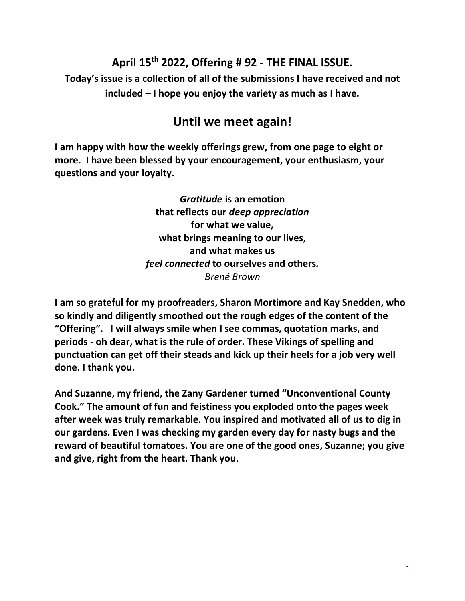## **April 15th 2022, Offering # 92 - THE FINAL ISSUE.**

**Today's issue is a collection of all of the submissions I have received and not included – I hope you enjoy the variety as much as I have.**

# **Until we meet again!**

**I am happy with how the weekly offerings grew, from one page to eight or more. I have been blessed by your encouragement, your enthusiasm, your questions and your loyalty.**

> *Gratitude* **is an emotion that reflects our** *deep appreciation* **for what we value, what brings meaning to our lives, and what makes us** *feel connected* **to ourselves and others***. Brené Brown*

**I am so grateful for my proofreaders, Sharon Mortimore and Kay Snedden, who so kindly and diligently smoothed out the rough edges of the content of the "Offering". I will always smile when I see commas, quotation marks, and periods - oh dear, what is the rule of order. These Vikings of spelling and punctuation can get off their steads and kick up their heels for a job very well done. I thank you.**

**And Suzanne, my friend, the Zany Gardener turned "Unconventional County Cook." The amount of fun and feistiness you exploded onto the pages week after week was truly remarkable. You inspired and motivated all of us to dig in our gardens. Even I was checking my garden every day for nasty bugs and the reward of beautiful tomatoes. You are one of the good ones, Suzanne; you give and give, right from the heart. Thank you.**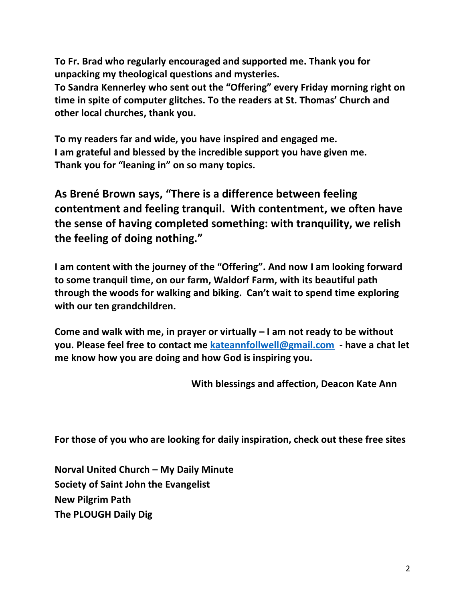**To Fr. Brad who regularly encouraged and supported me. Thank you for unpacking my theological questions and mysteries.**

**To Sandra Kennerley who sent out the "Offering" every Friday morning right on time in spite of computer glitches. To the readers at St. Thomas' Church and other local churches, thank you.**

**To my readers far and wide, you have inspired and engaged me. I am grateful and blessed by the incredible support you have given me. Thank you for "leaning in" on so many topics.**

**As Brené Brown says, "There is a difference between feeling contentment and feeling tranquil. With contentment, we often have the sense of having completed something: with tranquility, we relish the feeling of doing nothing."** 

**I am content with the journey of the "Offering". And now I am looking forward to some tranquil time, on our farm, Waldorf Farm, with its beautiful path through the woods for walking and biking. Can't wait to spend time exploring with our ten grandchildren.**

**Come and walk with me, in prayer or virtually – I am not ready to be without you. Please feel free to contact me [kateannfollwell@gmail.com](mailto:kateannfollwell@gmail.com) - have a chat let me know how you are doing and how God is inspiring you.**

**With blessings and affection, Deacon Kate Ann**

**For those of you who are looking for daily inspiration, check out these free sites**

**Norval United Church – My Daily Minute Society of Saint John the Evangelist New Pilgrim Path The PLOUGH Daily Dig**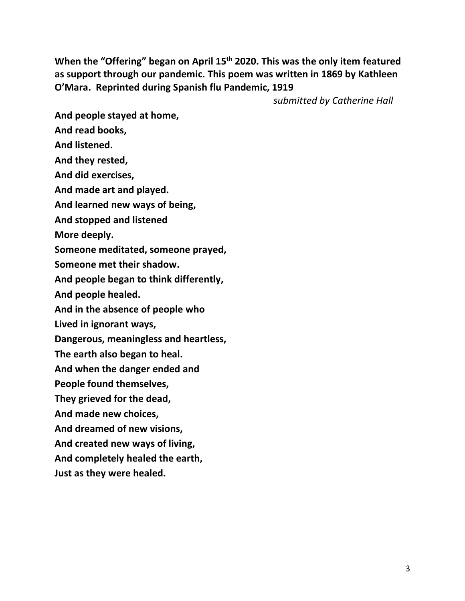**When the "Offering" began on April 15th 2020. This was the only item featured as support through our pandemic. This poem was written in 1869 by Kathleen O'Mara. Reprinted during Spanish flu Pandemic, 1919** 

*submitted by Catherine Hall*

**And people stayed at home, And read books, And listened. And they rested, And did exercises, And made art and played. And learned new ways of being, And stopped and listened More deeply. Someone meditated, someone prayed, Someone met their shadow. And people began to think differently, And people healed. And in the absence of people who Lived in ignorant ways, Dangerous, meaningless and heartless, The earth also began to heal. And when the danger ended and People found themselves, They grieved for the dead, And made new choices, And dreamed of new visions, And created new ways of living, And completely healed the earth, Just as they were healed.**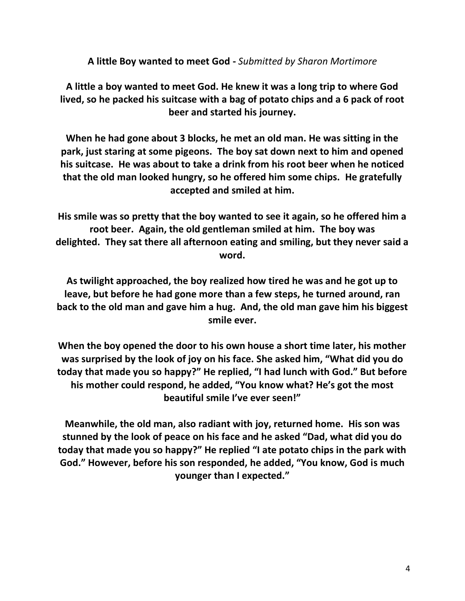**A little Boy wanted to meet God -** *Submitted by Sharon Mortimore*

**A little a boy wanted to meet God. He knew it was a long trip to where God lived, so he packed his suitcase with a bag of potato chips and a 6 pack of root beer and started his journey.**

**When he had gone about 3 blocks, he met an old man. He was sitting in the park, just staring at some pigeons. The boy sat down next to him and opened his suitcase. He was about to take a drink from his root beer when he noticed that the old man looked hungry, so he offered him some chips. He gratefully accepted and smiled at him.**

**His smile was so pretty that the boy wanted to see it again, so he offered him a root beer. Again, the old gentleman smiled at him. The boy was delighted. They sat there all afternoon eating and smiling, but they never said a word.**

**As twilight approached, the boy realized how tired he was and he got up to leave, but before he had gone more than a few steps, he turned around, ran back to the old man and gave him a hug. And, the old man gave him his biggest smile ever.**

**When the boy opened the door to his own house a short time later, his mother was surprised by the look of joy on his face. She asked him, "What did you do today that made you so happy?" He replied, "I had lunch with God." But before his mother could respond, he added, "You know what? He's got the most beautiful smile I've ever seen!"**

**Meanwhile, the old man, also radiant with joy, returned home. His son was stunned by the look of peace on his face and he asked "Dad, what did you do today that made you so happy?" He replied "I ate potato chips in the park with God." However, before his son responded, he added, "You know, God is much younger than I expected."**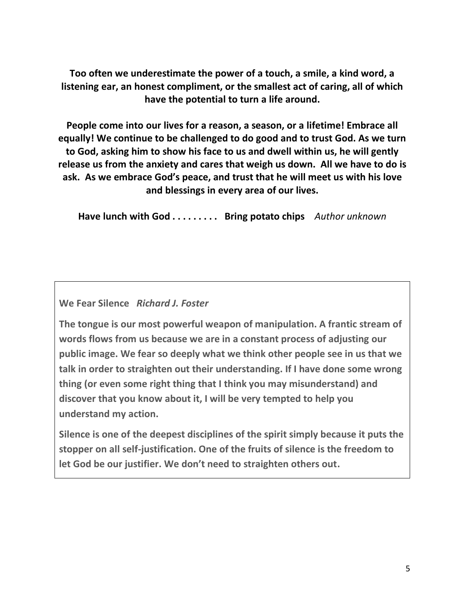**Too often we underestimate the power of a touch, a smile, a kind word, a listening ear, an honest compliment, or the smallest act of caring, all of which have the potential to turn a life around.**

**People come into our lives for a reason, a season, or a lifetime! Embrace all equally! We continue to be challenged to do good and to trust God. As we turn to God, asking him to show his face to us and dwell within us, he will gently release us from the anxiety and cares that weigh us down. All we have to do is ask. As we embrace God's peace, and trust that he will meet us with his love and blessings in every area of our lives.**

**Have lunch with God . . . . . . . . . Bring potato chips** *Author unknown*

### **We Fear Silence** *Richard J. Foster*

**The tongue is our most powerful weapon of manipulation. A frantic stream of words flows from us because we are in a constant process of adjusting our public image. We fear so deeply what we think other people see in us that we talk in order to straighten out their understanding. If I have done some wrong thing (or even some right thing that I think you may misunderstand) and discover that you know about it, I will be very tempted to help you understand my action.**

**Silence is one of the deepest disciplines of the spirit simply because it puts the stopper on all self-justification. One of the fruits of silence is the freedom to let God be our justifier. We don't need to straighten others out.**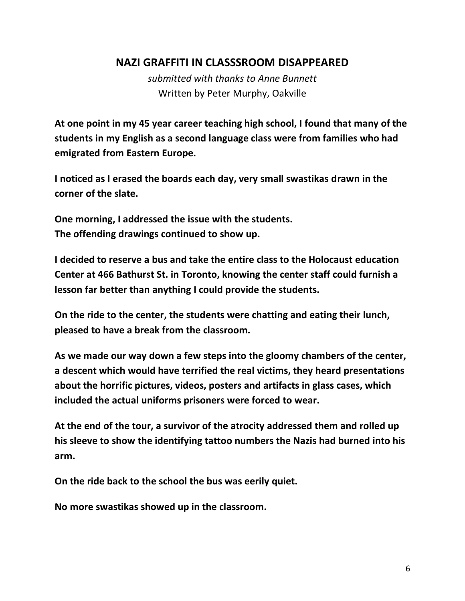### **NAZI GRAFFITI IN CLASSSROOM DISAPPEARED**

*submitted with thanks to Anne Bunnett* Written by Peter Murphy, Oakville

**At one point in my 45 year career teaching high school, I found that many of the students in my English as a second language class were from families who had emigrated from Eastern Europe.** 

**I noticed as I erased the boards each day, very small swastikas drawn in the corner of the slate.** 

**One morning, I addressed the issue with the students. The offending drawings continued to show up.**

**I decided to reserve a bus and take the entire class to the Holocaust education Center at 466 Bathurst St. in Toronto, knowing the center staff could furnish a lesson far better than anything I could provide the students.** 

**On the ride to the center, the students were chatting and eating their lunch, pleased to have a break from the classroom.** 

**As we made our way down a few steps into the gloomy chambers of the center, a descent which would have terrified the real victims, they heard presentations about the horrific pictures, videos, posters and artifacts in glass cases, which included the actual uniforms prisoners were forced to wear.** 

**At the end of the tour, a survivor of the atrocity addressed them and rolled up his sleeve to show the identifying tattoo numbers the Nazis had burned into his arm.** 

**On the ride back to the school the bus was eerily quiet.** 

**No more swastikas showed up in the classroom.**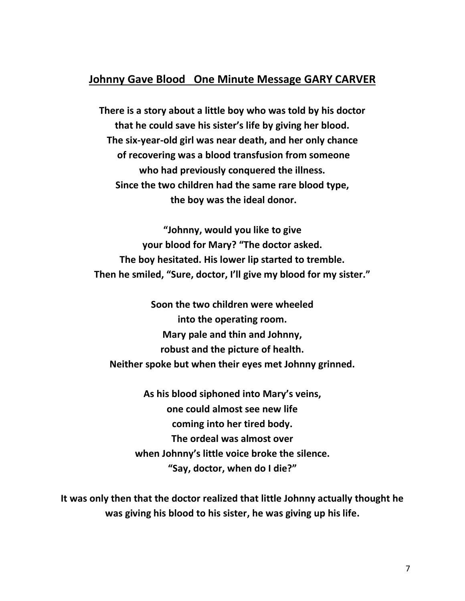### **Johnny Gave Blood One Minute Message GARY CARVER**

**There is a story about a little boy who was told by his doctor that he could save his sister's life by giving her blood. The six-year-old girl was near death, and her only chance of recovering was a blood transfusion from someone who had previously conquered the illness. Since the two children had the same rare blood type, the boy was the ideal donor.**

**"Johnny, would you like to give your blood for Mary? "The doctor asked. The boy hesitated. His lower lip started to tremble. Then he smiled, "Sure, doctor, I'll give my blood for my sister."**

**Soon the two children were wheeled into the operating room. Mary pale and thin and Johnny, robust and the picture of health. Neither spoke but when their eyes met Johnny grinned.**

**As his blood siphoned into Mary's veins, one could almost see new life coming into her tired body. The ordeal was almost over when Johnny's little voice broke the silence. "Say, doctor, when do I die?"**

**It was only then that the doctor realized that little Johnny actually thought he was giving his blood to his sister, he was giving up his life.**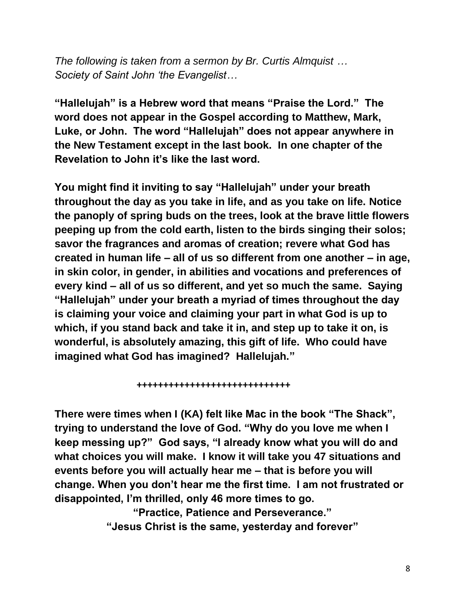*The following is taken from a sermon by Br. Curtis Almquist … Society of Saint John 'the Evangelist…*

**"Hallelujah" is a Hebrew word that means "Praise the Lord." The word does not appear in the Gospel according to Matthew, Mark, Luke, or John. The word "Hallelujah" does not appear anywhere in the New Testament except in the last book. In one chapter of the Revelation to John it's like the last word.** 

**You might find it inviting to say "Hallelujah" under your breath throughout the day as you take in life, and as you take on life. Notice the panoply of spring buds on the trees, look at the brave little flowers peeping up from the cold earth, listen to the birds singing their solos; savor the fragrances and aromas of creation; revere what God has created in human life – all of us so different from one another – in age, in skin color, in gender, in abilities and vocations and preferences of every kind – all of us so different, and yet so much the same. Saying "Hallelujah" under your breath a myriad of times throughout the day is claiming your voice and claiming your part in what God is up to which, if you stand back and take it in, and step up to take it on, is wonderful, is absolutely amazing, this gift of life. Who could have imagined what God has imagined? Hallelujah."** 

**+++++++++++++++++++++++++++++**

**There were times when I (KA) felt like Mac in the book "The Shack", trying to understand the love of God. "Why do you love me when I keep messing up?" God says, "I already know what you will do and what choices you will make. I know it will take you 47 situations and events before you will actually hear me – that is before you will change. When you don't hear me the first time. I am not frustrated or disappointed, I'm thrilled, only 46 more times to go.**

> **"Practice, Patience and Perseverance." "Jesus Christ is the same, yesterday and forever"**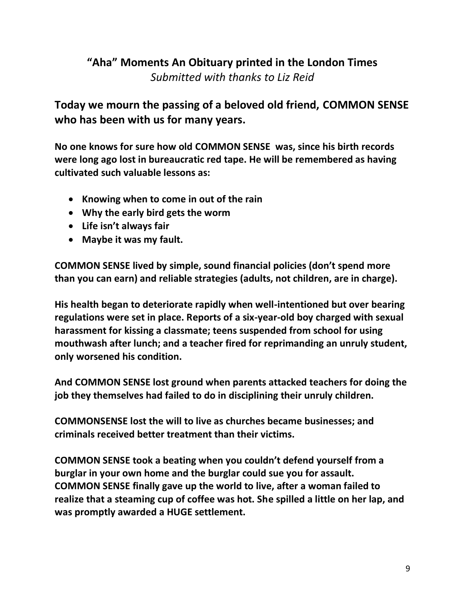# **"Aha" Moments An Obituary printed in the London Times** *Submitted with thanks to Liz Reid*

**Today we mourn the passing of a beloved old friend, COMMON SENSE who has been with us for many years.** 

**No one knows for sure how old COMMON SENSE was, since his birth records were long ago lost in bureaucratic red tape. He will be remembered as having cultivated such valuable lessons as:**

- **Knowing when to come in out of the rain**
- **Why the early bird gets the worm**
- **Life isn't always fair**
- **Maybe it was my fault.**

**COMMON SENSE lived by simple, sound financial policies (don't spend more than you can earn) and reliable strategies (adults, not children, are in charge).** 

**His health began to deteriorate rapidly when well-intentioned but over bearing regulations were set in place. Reports of a six-year-old boy charged with sexual harassment for kissing a classmate; teens suspended from school for using mouthwash after lunch; and a teacher fired for reprimanding an unruly student, only worsened his condition.**

**And COMMON SENSE lost ground when parents attacked teachers for doing the job they themselves had failed to do in disciplining their unruly children.**

**COMMONSENSE lost the will to live as churches became businesses; and criminals received better treatment than their victims.**

**COMMON SENSE took a beating when you couldn't defend yourself from a burglar in your own home and the burglar could sue you for assault. COMMON SENSE finally gave up the world to live, after a woman failed to realize that a steaming cup of coffee was hot. She spilled a little on her lap, and was promptly awarded a HUGE settlement.**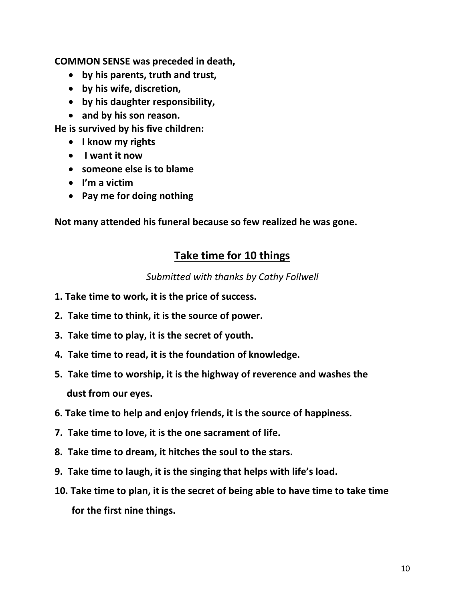**COMMON SENSE was preceded in death,** 

- **by his parents, truth and trust,**
- **by his wife, discretion,**
- **by his daughter responsibility,**
- **and by his son reason.**

**He is survived by his five children:** 

- **I know my rights**
- **I want it now**
- **someone else is to blame**
- **I'm a victim**
- **Pay me for doing nothing**

**Not many attended his funeral because so few realized he was gone.**

### **Take time for 10 things**

*Submitted with thanks by Cathy Follwell*

- **1. Take time to work, it is the price of success.**
- **2. Take time to think, it is the source of power.**
- **3. Take time to play, it is the secret of youth.**
- **4. Take time to read, it is the foundation of knowledge.**
- **5. Take time to worship, it is the highway of reverence and washes the dust from our eyes.**
- **6. Take time to help and enjoy friends, it is the source of happiness.**
- **7. Take time to love, it is the one sacrament of life.**
- **8. Take time to dream, it hitches the soul to the stars.**
- **9. Take time to laugh, it is the singing that helps with life's load.**
- **10. Take time to plan, it is the secret of being able to have time to take time for the first nine things.**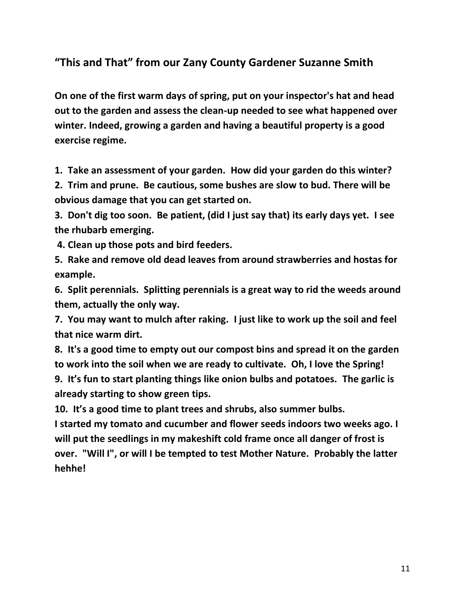## **"This and That" from our Zany County Gardener Suzanne Smith**

**On one of the first warm days of spring, put on your inspector's hat and head out to the garden and assess the clean-up needed to see what happened over winter. Indeed, growing a garden and having a beautiful property is a good exercise regime.**

**1. Take an assessment of your garden. How did your garden do this winter?**

**2. Trim and prune. Be cautious, some bushes are slow to bud. There will be obvious damage that you can get started on.**

**3. Don't dig too soon. Be patient, (did I just say that) its early days yet. I see the rhubarb emerging.** 

**4. Clean up those pots and bird feeders.**

**5. Rake and remove old dead leaves from around strawberries and hostas for example.**

**6. Split perennials. Splitting perennials is a great way to rid the weeds around them, actually the only way.**

**7. You may want to mulch after raking. I just like to work up the soil and feel that nice warm dirt.**

**8. It's a good time to empty out our compost bins and spread it on the garden to work into the soil when we are ready to cultivate. Oh, I love the Spring! 9. It's fun to start planting things like onion bulbs and potatoes. The garlic is already starting to show green tips.**

**10. It's a good time to plant trees and shrubs, also summer bulbs.**

**I started my tomato and cucumber and flower seeds indoors two weeks ago. I will put the seedlings in my makeshift cold frame once all danger of frost is over. "Will I", or will I be tempted to test Mother Nature. Probably the latter hehhe!**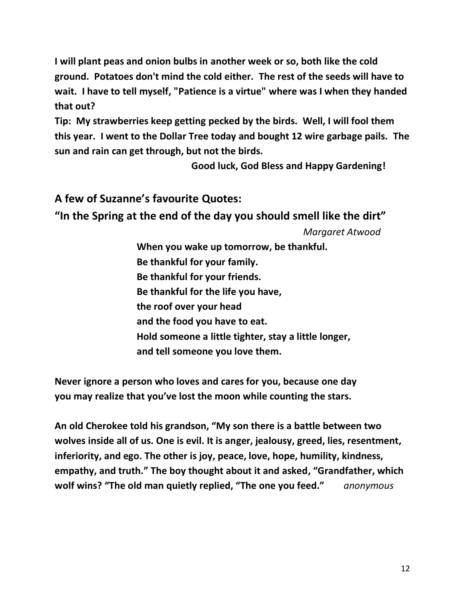**I will plant peas and onion bulbs in another week or so, both like the cold ground. Potatoes don't mind the cold either. The rest of the seeds will have to wait. I have to tell myself, "Patience is a virtue" where was I when they handed that out?**

**Tip: My strawberries keep getting pecked by the birds. Well, I will fool them this year. I went to the Dollar Tree today and bought 12 wire garbage pails. The sun and rain can get through, but not the birds.** 

**Good luck, God Bless and Happy Gardening!**

**A few of Suzanne's favourite Quotes:**

**"In the Spring at the end of the day you should smell like the dirt"**

*Margaret Atwood*

**When you wake up tomorrow, be thankful. Be thankful for your family. Be thankful for your friends. Be thankful for the life you have, the roof over your head and the food you have to eat. Hold someone a little tighter, stay a little longer, and tell someone you love them.**

**Never ignore a person who loves and cares for you, because one day you may realize that you've lost the moon while counting the stars.**

**An old Cherokee told his grandson, "My son there is a battle between two wolves inside all of us. One is evil. It is anger, jealousy, greed, lies, resentment, inferiority, and ego. The other is joy, peace, love, hope, humility, kindness, empathy, and truth." The boy thought about it and asked, "Grandfather, which wolf wins? "The old man quietly replied, "The one you feed."** *anonymous*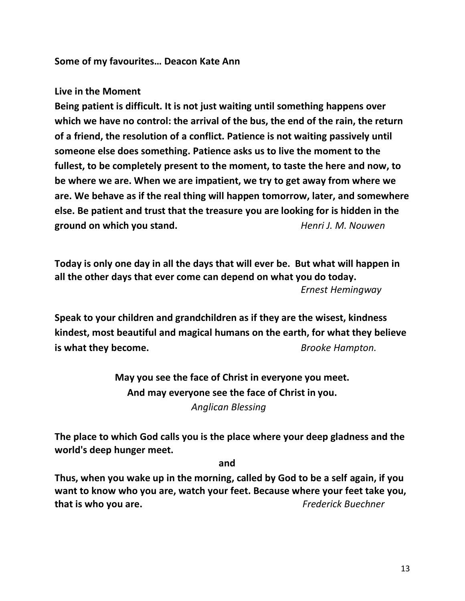### **Some of my favourites… Deacon Kate Ann**

### **Live in the Moment**

**Being patient is difficult. It is not just waiting until something happens over which we have no control: the arrival of the bus, the end of the rain, the return of a friend, the resolution of a conflict. Patience is not waiting passively until someone else does something. Patience asks us to live the moment to the fullest, to be completely present to the moment, to taste the here and now, to be where we are. When we are impatient, we try to get away from where we are. We behave as if the real thing will happen tomorrow, later, and somewhere else. Be patient and trust that the treasure you are looking for is hidden in the ground on which you stand.** *Henri J. M. Nouwen*

**Today is only one day in all the days that will ever be. But what will happen in all the other days that ever come can depend on what you do today.**  *Ernest Hemingway*

**Speak to your children and grandchildren as if they are the wisest, kindness kindest, most beautiful and magical humans on the earth, for what they believe is what they become.** *Brooke Hampton.*

> **May you see the face of Christ in everyone you meet. And may everyone see the face of Christ in you.** *Anglican Blessing*

**The place to which God calls you is the place where your deep gladness and the world's deep hunger meet.**

**and**

**Thus, when you wake up in the morning, called by God to be a self again, if you want to know who you are, watch your feet. Because where your feet take you, that is who you are.** *Frederick Buechner*